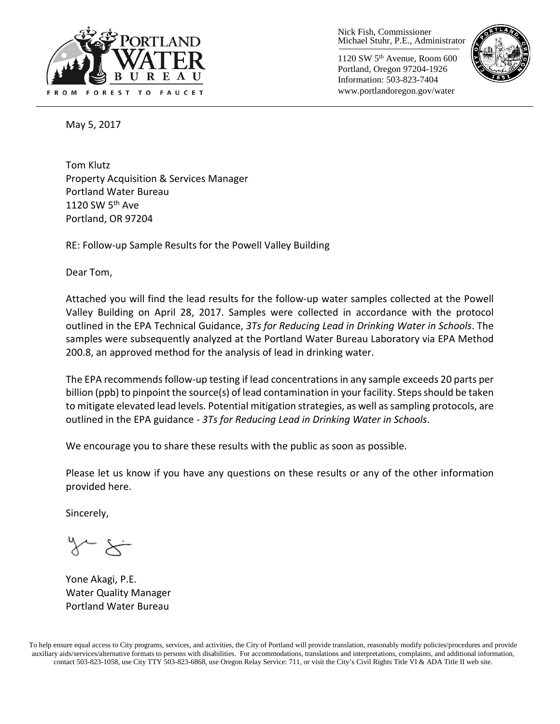

Nick Fish, Commissioner Michael Stuhr, P.E., Administrator

1120 SW 5th Avenue, Room 600 Portland, Oregon 97204-1926 Information: 503-823-7404 www.portlandoregon.gov/water



May 5, 2017

Tom Klutz Property Acquisition & Services Manager Portland Water Bureau 1120 SW  $5<sup>th</sup>$  Ave Portland, OR 97204

RE: Follow-up Sample Results for the Powell Valley Building

Dear Tom,

Attached you will find the lead results for the follow-up water samples collected at the Powell Valley Building on April 28, 2017. Samples were collected in accordance with the protocol outlined in the EPA Technical Guidance, *3Ts for Reducing Lead in Drinking Water in Schools*. The samples were subsequently analyzed at the Portland Water Bureau Laboratory via EPA Method 200.8, an approved method for the analysis of lead in drinking water.

The EPA recommends follow-up testing if lead concentrations in any sample exceeds 20 parts per billion (ppb) to pinpoint the source(s) of lead contamination in your facility. Steps should be taken to mitigate elevated lead levels. Potential mitigation strategies, as well as sampling protocols, are outlined in the EPA guidance - *3Ts for Reducing Lead in Drinking Water in Schools*.

We encourage you to share these results with the public as soon as possible.

Please let us know if you have any questions on these results or any of the other information provided here.

Sincerely,

Yone Akagi, P.E. Water Quality Manager Portland Water Bureau

To help ensure equal access to City programs, services, and activities, the City of Portland will provide translation, reasonably modify policies/procedures and provide auxiliary aids/services/alternative formats to persons with disabilities. For accommodations, translations and interpretations, complaints, and additional information, contact 503-823-1058, use City TTY 503-823-6868, use Oregon Relay Service: 711, or visi[t the City's Civil Rights Title VI & ADA Title II web site.](http://www.portlandoregon.gov/oehr/66458)